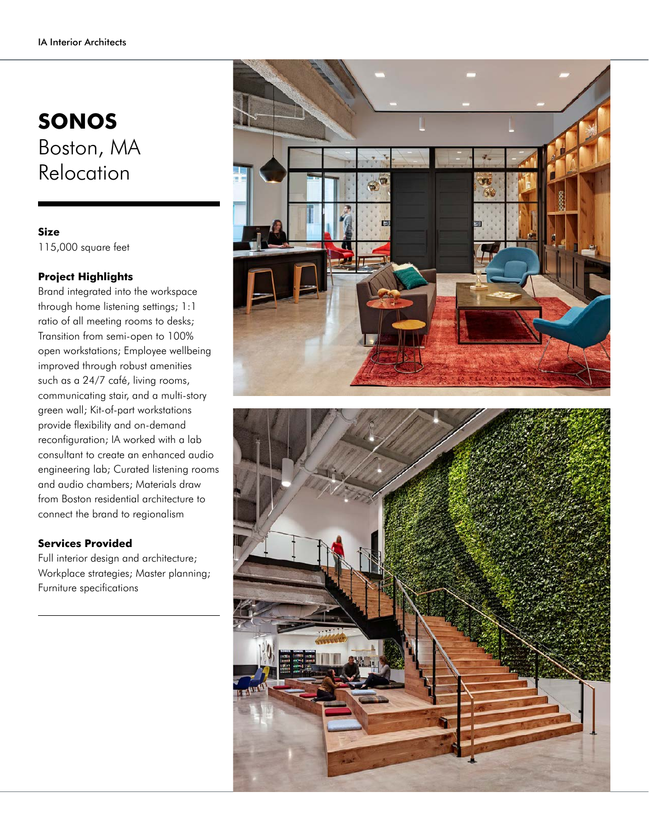## **SONOS** Boston, MA Relocation

**Size** 115,000 square feet

## **Project Highlights**

Brand integrated into the workspace through home listening settings; 1:1 ratio of all meeting rooms to desks; Transition from semi-open to 100% open workstations; Employee wellbeing improved through robust amenities such as a 24/7 café, living rooms, communicating stair, and a multi-story green wall; Kit-of-part workstations provide flexibility and on-demand reconfiguration; IA worked with a lab consultant to create an enhanced audio engineering lab; Curated listening rooms and audio chambers; Materials draw from Boston residential architecture to connect the brand to regionalism

## **Services Provided**

Full interior design and architecture; Workplace strategies; Master planning; Furniture specifications